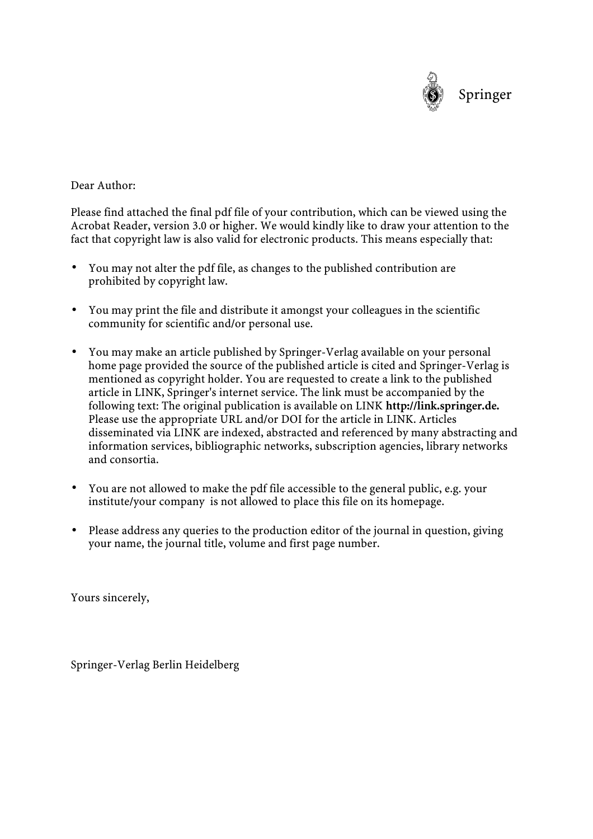

# Dear Author

Please find attached the final pdf file of your contribution, which can be viewed using the Acrobat Reader, version 3.0 or higher. We would kindly like to draw your attention to the fact that copyright law is also valid for electronic products. This means especially that:

- You may not alter the pdf file, as changes to the published contribution are prohibited by copyright law.
- You may print the file and distribute it amongst your colleagues in the scientific community for scientific and/or personal use.
- You may make an article published by Springer-Verlag available on your personal home page provided the source of the published article is cited and Springer-Verlag is mentioned as copyright holder. You are requested to create a link to the published article in LINK, Springer's internet service. The link must be accompanied by the following text: The original publication is available on LINK http://link.springer.de. Please use the appropriate URL and/or DOI for the article in LINK. Articles disseminated via LINK are indexed, abstracted and referenced by many abstracting and information services, bibliographic networks, subscription agencies, library networks and consortia.
- You are not allowed to make the pdf file accessible to the general public, e.g. your institute/your company is not allowed to place this file on its homepage.
- Please address any queries to the production editor of the journal in question, giving your name, the journal title, volume and first page number.

Yours sincerely,

Springer-Verlag Berlin Heidelberg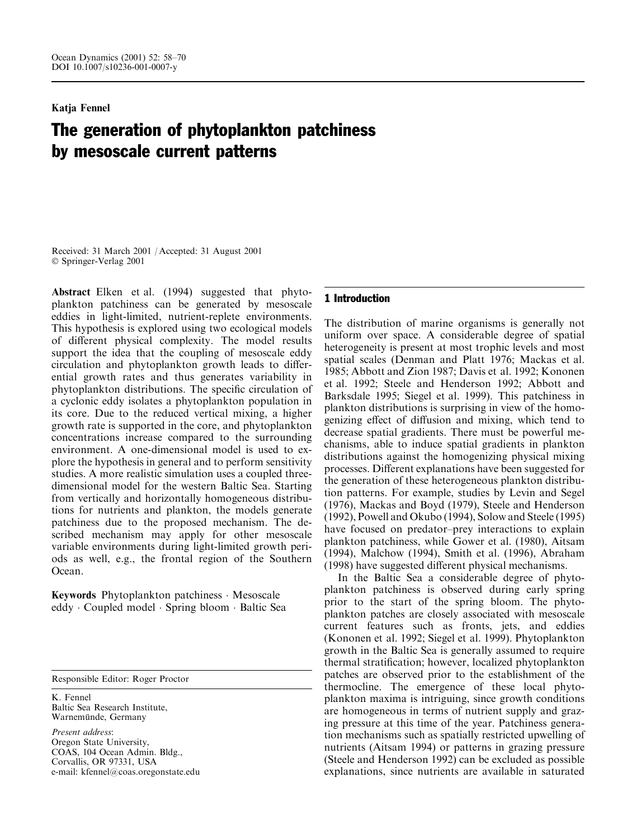Katja Fennel

# The generation of phytoplankton patchiness by mesoscale current patterns

Received: 31 March 2001 / Accepted: 31 August 2001 Springer-Verlag 2001

Abstract Elken et al. (1994) suggested that phytoplankton patchiness can be generated by mesoscale eddies in light-limited, nutrient-replete environments. This hypothesis is explored using two ecological models of different physical complexity. The model results support the idea that the coupling of mesoscale eddy circulation and phytoplankton growth leads to differential growth rates and thus generates variability in phytoplankton distributions. The specific circulation of a cyclonic eddy isolates a phytoplankton population in its core. Due to the reduced vertical mixing, a higher growth rate is supported in the core, and phytoplankton concentrations increase compared to the surrounding environment. A one-dimensional model is used to explore the hypothesis in general and to perform sensitivity studies. A more realistic simulation uses a coupled threedimensional model for the western Baltic Sea. Starting from vertically and horizontally homogeneous distributions for nutrients and plankton, the models generate patchiness due to the proposed mechanism. The described mechanism may apply for other mesoscale variable environments during light-limited growth periods as well, e.g., the frontal region of the Southern Ocean.

Keywords Phytoplankton patchiness · Mesoscale eddy · Coupled model · Spring bloom · Baltic Sea

Responsible Editor: Roger Proctor

K. Fennel Baltic Sea Research Institute, Warnemünde, Germany

Present address: Oregon State University, COAS, 104 Ocean Admin. Bldg., Corvallis, OR 97331, USA e-mail: kfennel@coas.oregonstate.edu

## 1 Introduction

The distribution of marine organisms is generally not uniform over space. A considerable degree of spatial heterogeneity is present at most trophic levels and most spatial scales (Denman and Platt 1976; Mackas et al. 1985; Abbott and Zion 1987; Davis et al. 1992; Kononen et al. 1992; Steele and Henderson 1992; Abbott and Barksdale 1995; Siegel et al. 1999). This patchiness in plankton distributions is surprising in view of the homogenizing effect of diffusion and mixing, which tend to decrease spatial gradients. There must be powerful mechanisms, able to induce spatial gradients in plankton distributions against the homogenizing physical mixing processes. Different explanations have been suggested for the generation of these heterogeneous plankton distribution patterns. For example, studies by Levin and Segel (1976), Mackas and Boyd (1979), Steele and Henderson (1992), Powell and Okubo (1994), Solow and Steele (1995) have focused on predator–prey interactions to explain plankton patchiness, while Gower et al. (1980), Aitsam (1994), Malchow (1994), Smith et al. (1996), Abraham (1998) have suggested different physical mechanisms.

In the Baltic Sea a considerable degree of phytoplankton patchiness is observed during early spring prior to the start of the spring bloom. The phytoplankton patches are closely associated with mesoscale current features such as fronts, jets, and eddies (Kononen et al. 1992; Siegel et al. 1999). Phytoplankton growth in the Baltic Sea is generally assumed to require thermal stratification; however, localized phytoplankton patches are observed prior to the establishment of the thermocline. The emergence of these local phytoplankton maxima is intriguing, since growth conditions are homogeneous in terms of nutrient supply and grazing pressure at this time of the year. Patchiness generation mechanisms such as spatially restricted upwelling of nutrients (Aitsam 1994) or patterns in grazing pressure (Steele and Henderson 1992) can be excluded as possible explanations, since nutrients are available in saturated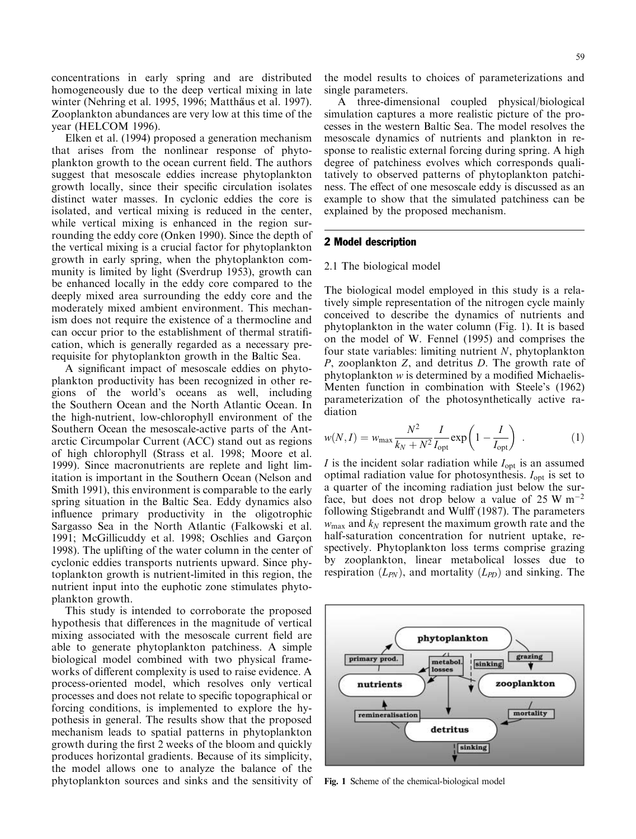concentrations in early spring and are distributed homogeneously due to the deep vertical mixing in late winter (Nehring et al. 1995, 1996; Matthaus et al. 1997). Zooplankton abundances are very low at this time of the year (HELCOM 1996).

Elken et al. (1994) proposed a generation mechanism that arises from the nonlinear response of phytoplankton growth to the ocean current field. The authors suggest that mesoscale eddies increase phytoplankton growth locally, since their specific circulation isolates distinct water masses. In cyclonic eddies the core is isolated, and vertical mixing is reduced in the center, while vertical mixing is enhanced in the region surrounding the eddy core (Onken 1990). Since the depth of the vertical mixing is a crucial factor for phytoplankton growth in early spring, when the phytoplankton community is limited by light (Sverdrup 1953), growth can be enhanced locally in the eddy core compared to the deeply mixed area surrounding the eddy core and the moderately mixed ambient environment. This mechanism does not require the existence of a thermocline and can occur prior to the establishment of thermal stratification, which is generally regarded as a necessary prerequisite for phytoplankton growth in the Baltic Sea.

A significant impact of mesoscale eddies on phytoplankton productivity has been recognized in other regions of the world's oceans as well, including the Southern Ocean and the North Atlantic Ocean. In the high-nutrient, low-chlorophyll environment of the Southern Ocean the mesoscale-active parts of the Antarctic Circumpolar Current (ACC) stand out as regions of high chlorophyll (Strass et al. 1998; Moore et al. 1999). Since macronutrients are replete and light limitation is important in the Southern Ocean (Nelson and Smith 1991), this environment is comparable to the early spring situation in the Baltic Sea. Eddy dynamics also influence primary productivity in the oligotrophic Sargasso Sea in the North Atlantic (Falkowski et al. 1991; McGillicuddy et al. 1998; Oschlies and Garçon 1998). The uplifting of the water column in the center of cyclonic eddies transports nutrients upward. Since phytoplankton growth is nutrient-limited in this region, the nutrient input into the euphotic zone stimulates phytoplankton growth.

This study is intended to corroborate the proposed hypothesis that differences in the magnitude of vertical mixing associated with the mesoscale current field are able to generate phytoplankton patchiness. A simple biological model combined with two physical frameworks of different complexity is used to raise evidence. A process-oriented model, which resolves only vertical processes and does not relate to specific topographical or forcing conditions, is implemented to explore the hypothesis in general. The results show that the proposed mechanism leads to spatial patterns in phytoplankton growth during the first 2 weeks of the bloom and quickly produces horizontal gradients. Because of its simplicity, the model allows one to analyze the balance of the phytoplankton sources and sinks and the sensitivity of 59

the model results to choices of parameterizations and single parameters.

A three-dimensional coupled physical/biological simulation captures a more realistic picture of the processes in the western Baltic Sea. The model resolves the mesoscale dynamics of nutrients and plankton in response to realistic external forcing during spring. A high degree of patchiness evolves which corresponds qualitatively to observed patterns of phytoplankton patchiness. The effect of one mesoscale eddy is discussed as an example to show that the simulated patchiness can be explained by the proposed mechanism.

# 2 Model description

#### 2.1 The biological model

The biological model employed in this study is a relatively simple representation of the nitrogen cycle mainly conceived to describe the dynamics of nutrients and phytoplankton in the water column (Fig. 1). It is based on the model of W. Fennel (1995) and comprises the four state variables: limiting nutrient  $N$ , phytoplankton P, zooplankton Z, and detritus D. The growth rate of phytoplankton w is determined by a modified Michaelis-Menten function in combination with Steele's (1962) parameterization of the photosynthetically active radiation

$$
w(N,I) = w_{\text{max}} \frac{N^2}{k_N + N^2} \frac{I}{I_{\text{opt}}} \exp\left(1 - \frac{I}{I_{\text{opt}}}\right) \tag{1}
$$

I is the incident solar radiation while  $I_{opt}$  is an assumed optimal radiation value for photosynthesis.  $I_{opt}$  is set to a quarter of the incoming radiation just below the surface, but does not drop below a value of  $25 \text{ W m}^{-2}$ following Stigebrandt and Wulff (1987). The parameters  $w_{\text{max}}$  and  $k_N$  represent the maximum growth rate and the half-saturation concentration for nutrient uptake, respectively. Phytoplankton loss terms comprise grazing by zooplankton, linear metabolical losses due to respiration  $(L_{PN})$ , and mortality  $(L_{PD})$  and sinking. The



Fig. 1 Scheme of the chemical-biological model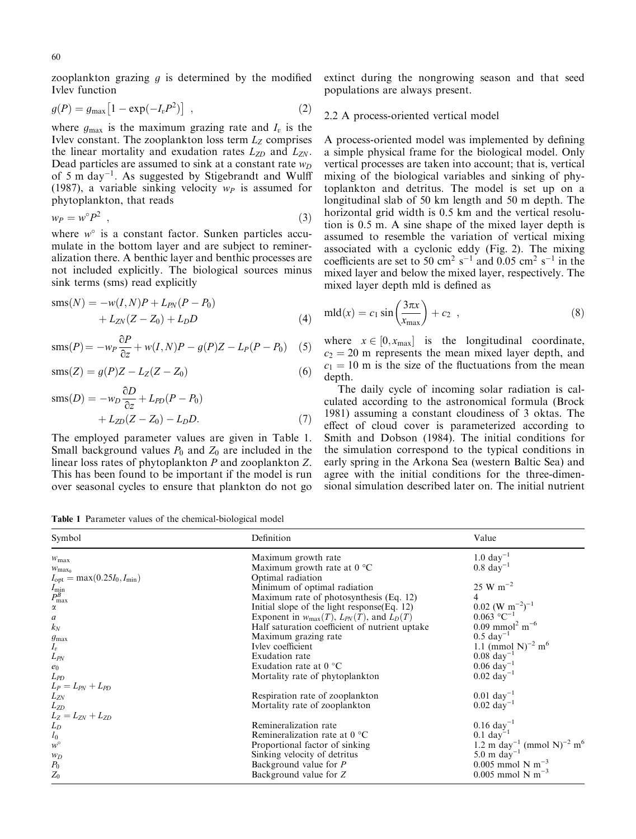zooplankton grazing  $q$  is determined by the modified Ivlev function

$$
g(P) = g_{\text{max}} \left[ 1 - \exp(-I_v P^2) \right] \tag{2}
$$

where  $g_{\text{max}}$  is the maximum grazing rate and  $I_v$  is the Ivlev constant. The zooplankton loss term  $L_z$  comprises the linear mortality and exudation rates  $L_{ZD}$  and  $L_{ZN}$ . Dead particles are assumed to sink at a constant rate  $w_D$ of 5 m day<sup>-1</sup>. As suggested by Stigebrandt and Wulff (1987), a variable sinking velocity  $w_P$  is assumed for phytoplankton, that reads

$$
w_P = w^\circ P^2 \tag{3}
$$

where  $w^{\circ}$  is a constant factor. Sunken particles accumulate in the bottom layer and are subject to remineralization there. A benthic layer and benthic processes are not included explicitly. The biological sources minus sink terms (sms) read explicitly

$$
sms(N) = -w(I, N)P + L_{PN}(P - P_0) + L_{ZN}(Z - Z_0) + L_D D
$$
\n(4)

$$
sms(P) = -w_P \frac{\partial P}{\partial z} + w(I, N)P - g(P)Z - L_P(P - P_0)
$$
 (5)

$$
sms(Z) = g(P)Z - L_Z(Z - Z_0)
$$
\n<sup>(6)</sup>

$$
sms(D) = -w_D \frac{\partial D}{\partial z} + L_{PD}(P - P_0)
$$

$$
+ L_{ZD}(Z - Z_0) - L_D D.
$$
 (7)

The employed parameter values are given in Table 1. Small background values  $P_0$  and  $Z_0$  are included in the linear loss rates of phytoplankton P and zooplankton Z. This has been found to be important if the model is run over seasonal cycles to ensure that plankton do not go extinct during the nongrowing season and that seed populations are always present.

#### 2.2 A process-oriented vertical model

A process-oriented model was implemented by defining a simple physical frame for the biological model. Only vertical processes are taken into account; that is, vertical mixing of the biological variables and sinking of phytoplankton and detritus. The model is set up on a longitudinal slab of 50 km length and 50 m depth. The horizontal grid width is 0.5 km and the vertical resolution is 0.5 m. A sine shape of the mixed layer depth is assumed to resemble the variation of vertical mixing associated with a cyclonic eddy (Fig. 2). The mixing coefficients are set to 50 cm<sup>2</sup> s<sup>-1</sup> and 0.05 cm<sup>2</sup> s<sup>-1</sup> in the mixed layer and below the mixed layer, respectively. The mixed layer depth mld is defined as

$$
\mathrm{mld}(x) = c_1 \sin\left(\frac{3\pi x}{x_{\max}}\right) + c_2 \quad , \tag{8}
$$

where  $x \in [0, x_{\text{max}}]$  is the longitudinal coordinate,  $c_2 = 20$  m represents the mean mixed layer depth, and  $c_1 = 10$  m is the size of the fluctuations from the mean depth.

The daily cycle of incoming solar radiation is calculated according to the astronomical formula (Brock 1981) assuming a constant cloudiness of 3 oktas. The effect of cloud cover is parameterized according to Smith and Dobson (1984). The initial conditions for the simulation correspond to the typical conditions in early spring in the Arkona Sea (western Baltic Sea) and agree with the initial conditions for the three-dimensional simulation described later on. The initial nutrient

Table 1 Parameter values of the chemical-biological model

| Symbol                                           | Definition                                                   | Value                                                         |
|--------------------------------------------------|--------------------------------------------------------------|---------------------------------------------------------------|
| $W_{\text{max}}$                                 | Maximum growth rate                                          | $1.0 \text{ day}^{-1}$                                        |
| $W_{\text{max}_0}$                               | Maximum growth rate at $0^{\circ}$ C                         | $0.8 \text{ day}^{-1}$                                        |
| $I_{\text{opt}} = \max(0.25I_0, I_{\text{min}})$ | Optimal radiation                                            |                                                               |
| $I_{\text{min}}$<br>$P_{\text{max}}$             | Minimum of optimal radiation                                 | $25 \text{ W m}^{-2}$                                         |
|                                                  | Maximum rate of photosynthesis (Eq. 12)                      | $\overline{4}$                                                |
| $\alpha$                                         | Initial slope of the light response $(Eq. 12)$               | $0.02~(\text{W m}^{-2})^{-1}$                                 |
| a                                                | Exponent in $w_{\text{max}}(T)$ , $L_{PN}(T)$ , and $L_D(T)$ | $0.063^{\circ}$ C <sup>-1</sup>                               |
| $k_N$                                            | Half saturation coefficient of nutrient uptake               | $0.09$ mmol <sup>2</sup> m <sup>-6</sup>                      |
| $g_{\rm max}$                                    | Maximum grazing rate                                         | $0.5 \text{ day}^{-1}$                                        |
| $I_v$                                            | Ivley coefficient                                            | 1.1 (mmol N) <sup><math>-2</math></sup> m <sup>6</sup>        |
| $\mathcal{L}_{PN}$                               | Exudation rate                                               | $0.08 \text{ day}^{-1}$                                       |
| $e_0$                                            | Exudation rate at $0^{\circ}$ C                              | $0.06 \text{ day}^{-1}$                                       |
| $L_{PD}$                                         | Mortality rate of phytoplankton                              | $0.02 \text{ day}^{-1}$                                       |
| $L_P = L_{PN} + L_{PD}$                          |                                                              |                                                               |
| ${\cal L}_{ZN}$                                  | Respiration rate of zooplankton                              | $0.01 \text{ day}^{-1}$                                       |
| $L_{ZD}$                                         | Mortality rate of zooplankton                                | $0.02 \text{ day}^{-1}$                                       |
| $L_Z = L_{ZN} + L_{ZD}$                          |                                                              |                                                               |
|                                                  | Remineralization rate                                        | $0.16 \text{ day}^{-1}$                                       |
| $L_D \over l_0$                                  | Remineralization rate at $0^{\circ}$ C                       | $0.1 \text{ day}^{-1}$                                        |
| $w^{\circ}$                                      | Proportional factor of sinking                               | 1.2 m day <sup>-1</sup> (mmol N) <sup>-2</sup> m <sup>6</sup> |
| $w_D$                                            | Sinking velocity of detritus                                 | 5.0 m $\frac{1}{\text{day}}$                                  |
| $P_0$                                            | Background value for P                                       | $0.005$ mmol N m <sup>-3</sup>                                |
| $Z_0$                                            | Background value for Z                                       | $0.005$ mmol N m <sup>-3</sup>                                |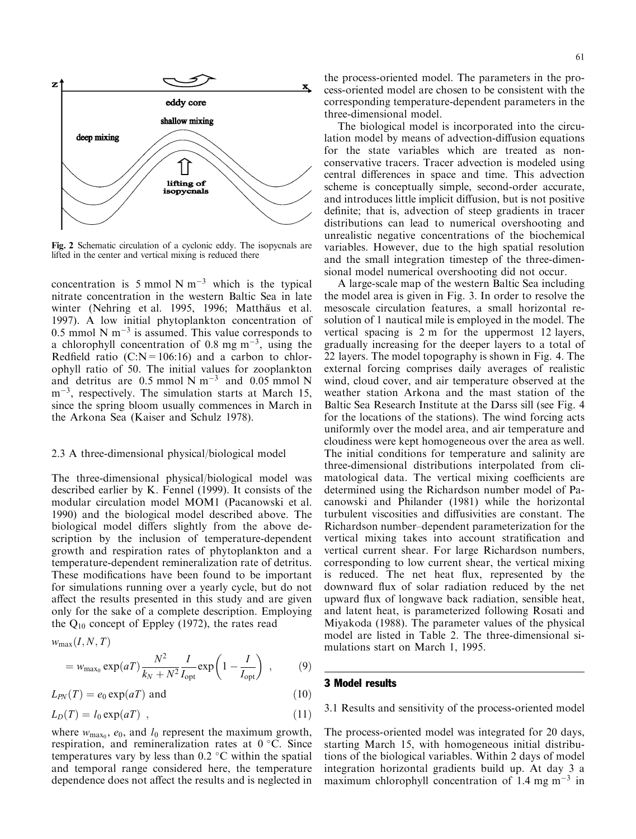corresponding temperature-dependent parameters in the

three-dimensional model. The biological model is incorporated into the circulation model by means of advection-diffusion equations for the state variables which are treated as nonconservative tracers. Tracer advection is modeled using central differences in space and time. This advection scheme is conceptually simple, second-order accurate, and introduces little implicit diffusion, but is not positive definite; that is, advection of steep gradients in tracer distributions can lead to numerical overshooting and unrealistic negative concentrations of the biochemical variables. However, due to the high spatial resolution and the small integration timestep of the three-dimensional model numerical overshooting did not occur.

A large-scale map of the western Baltic Sea including the model area is given in Fig. 3. In order to resolve the mesoscale circulation features, a small horizontal resolution of 1 nautical mile is employed in the model. The vertical spacing is 2 m for the uppermost 12 layers, gradually increasing for the deeper layers to a total of 22 layers. The model topography is shown in Fig. 4. The external forcing comprises daily averages of realistic wind, cloud cover, and air temperature observed at the weather station Arkona and the mast station of the Baltic Sea Research Institute at the Darss sill (see Fig. 4 for the locations of the stations). The wind forcing acts uniformly over the model area, and air temperature and cloudiness were kept homogeneous over the area as well. The initial conditions for temperature and salinity are three-dimensional distributions interpolated from climatological data. The vertical mixing coefficients are determined using the Richardson number model of Pacanowski and Philander (1981) while the horizontal turbulent viscosities and diffusivities are constant. The Richardson number–dependent parameterization for the vertical mixing takes into account stratification and vertical current shear. For large Richardson numbers, corresponding to low current shear, the vertical mixing is reduced. The net heat flux, represented by the downward flux of solar radiation reduced by the net upward flux of longwave back radiation, sensible heat, and latent heat, is parameterized following Rosati and Miyakoda (1988). The parameter values of the physical model are listed in Table 2. The three-dimensional simulations start on March 1, 1995.

#### 3 Model results

3.1 Results and sensitivity of the process-oriented model

The process-oriented model was integrated for 20 days, starting March 15, with homogeneous initial distributions of the biological variables. Within 2 days of model integration horizontal gradients build up. At day 3 a maximum chlorophyll concentration of 1.4 mg  $m<sup>-3</sup>$  in

Fig. 2 Schematic circulation of a cyclonic eddy. The isopycnals are lifted in the center and vertical mixing is reduced there

concentration is 5 mmol N  $m^{-3}$  which is the typical nitrate concentration in the western Baltic Sea in late winter (Nehring et al. 1995, 1996; Matthäus et al. 1997). A low initial phytoplankton concentration of 0.5 mmol N  $\mathrm{m}^{-3}$  is assumed. This value corresponds to a chlorophyll concentration of 0.8 mg  $m^{-3}$ , using the Redfield ratio  $(C:N=106:16)$  and a carbon to chlorophyll ratio of 50. The initial values for zooplankton and detritus are  $0.5$  mmol N m<sup>-3</sup> and  $0.05$  mmol N  $m^{-3}$ , respectively. The simulation starts at March 15, since the spring bloom usually commences in March in the Arkona Sea (Kaiser and Schulz 1978).

#### 2.3 A three-dimensional physical/biological model

The three-dimensional physical/biological model was described earlier by K. Fennel (1999). It consists of the modular circulation model MOM1 (Pacanowski et al. 1990) and the biological model described above. The biological model differs slightly from the above description by the inclusion of temperature-dependent growth and respiration rates of phytoplankton and a temperature-dependent remineralization rate of detritus. These modifications have been found to be important for simulations running over a yearly cycle, but do not affect the results presented in this study and are given only for the sake of a complete description. Employing the  $Q_{10}$  concept of Eppley (1972), the rates read

$$
w_{\max}(I,N,T)
$$

$$
= w_{\text{max}_0} \exp(aT) \frac{N^2}{k_N + N^2} \frac{I}{I_{\text{opt}}} \exp\left(1 - \frac{I}{I_{\text{opt}}}\right) , \qquad (9)
$$

$$
L_{PN}(T) = e_0 \exp(aT) \text{ and } \tag{10}
$$

$$
L_D(T) = l_0 \exp(aT) \quad , \tag{11}
$$

where  $w_{\text{max}_0}$ ,  $e_0$ , and  $l_0$  represent the maximum growth, respiration, and remineralization rates at  $0^{\circ}$ C. Since temperatures vary by less than  $0.2 \degree$ C within the spatial and temporal range considered here, the temperature dependence does not affect the results and is neglected in

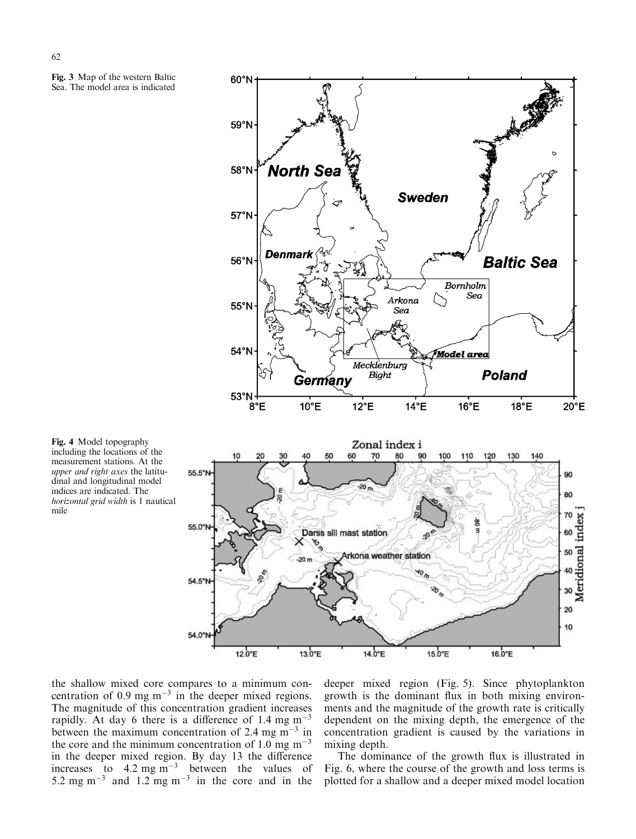



Fig. 4 Model topography including the locations of the measurement stations. At the upper and right axes the latitudinal and longitudinal model indices are indicated. The horizontal grid width is 1 nautical mile

the shallow mixed core compares to a minimum concentration of 0.9 mg  $m^{-3}$  in the deeper mixed regions. The magnitude of this concentration gradient increases rapidly. At day 6 there is a difference of 1.4 mg  $m^{-3}$ between the maximum concentration of 2.4 mg  $m^{-3}$  in the core and the minimum concentration of 1.0 mg  $m^{-3}$ in the deeper mixed region. By day 13 the difference increases to  $4.2 \text{ mg m}^{-3}$  between the values of 5.2 mg m<sup>-3</sup> and 1.2 mg m<sup>-3</sup> in the core and in the

deeper mixed region (Fig. 5). Since phytoplankton growth is the dominant flux in both mixing environments and the magnitude of the growth rate is critically dependent on the mixing depth, the emergence of the concentration gradient is caused by the variations in mixing depth.

The dominance of the growth flux is illustrated in Fig. 6, where the course of the growth and loss terms is plotted for a shallow and a deeper mixed model location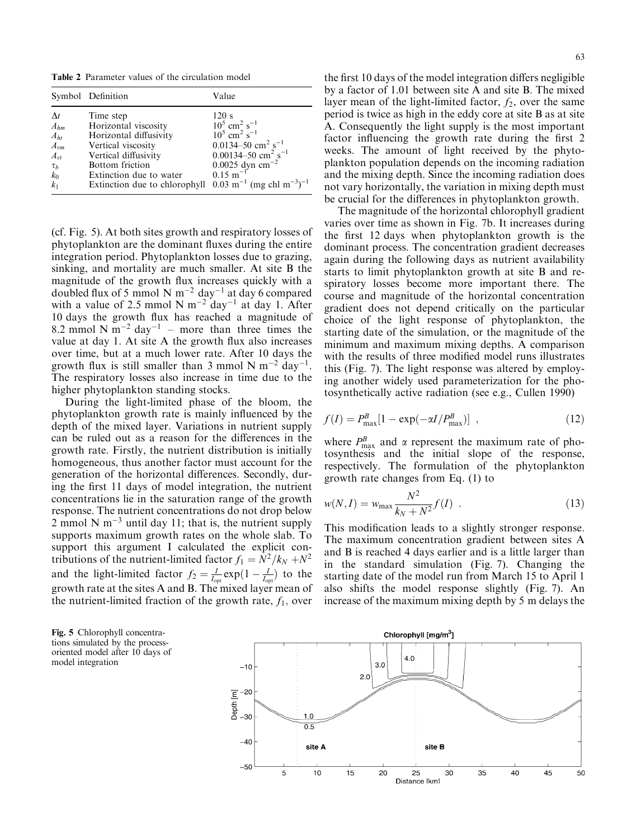Table 2 Parameter values of the circulation model

|                                                                                                   | Symbol Definition                                                                                                                                                                                                                                      | Value                                                                                                                                                                                                                                         |
|---------------------------------------------------------------------------------------------------|--------------------------------------------------------------------------------------------------------------------------------------------------------------------------------------------------------------------------------------------------------|-----------------------------------------------------------------------------------------------------------------------------------------------------------------------------------------------------------------------------------------------|
| $\Delta t$<br>$A_{hm}$<br>$A_{ht}$<br>$A_{vm}$<br>$A_{nt}$<br>$\tau_b$<br>$k_0$<br>k <sub>1</sub> | Time step<br>Horizontal viscosity<br>Horizontal diffusivity<br>Vertical viscosity<br>Vertical diffusivity<br>Bottom friction<br>Extinction due to water<br>Extinction due to chlorophyll $0.03 \text{ m}^{-1}$ (mg chl m <sup>-3</sup> ) <sup>-1</sup> | 120 s<br>$10^5$ cm <sup>2</sup> s <sup>-1</sup><br>$10^5$ cm <sup>2</sup> s <sup>-1</sup><br>0.0134-50 cm <sup>2</sup> s <sup>-1</sup><br>0.00134-50 cm <sup>2</sup> s <sup>-1</sup><br>$0.0025$ dyn cm <sup>-2</sup><br>0.15 m <sup>-1</sup> |

(cf. Fig. 5). At both sites growth and respiratory losses of phytoplankton are the dominant fluxes during the entire integration period. Phytoplankton losses due to grazing, sinking, and mortality are much smaller. At site B the magnitude of the growth flux increases quickly with a doubled flux of 5 mmol N  $m^{-2}$  day<sup>-1</sup> at day 6 compared with a value of 2.5 mmol N  $m^{-2}$  day<sup>-1</sup> at day 1. After 10 days the growth flux has reached a magnitude of 8.2 mmol N m<sup>-2</sup> day<sup>-1</sup> – more than three times the value at day 1. At site A the growth flux also increases over time, but at a much lower rate. After 10 days the growth flux is still smaller than 3 mmol N  $m^{-2}$  day<sup>-1</sup>. The respiratory losses also increase in time due to the higher phytoplankton standing stocks.

During the light-limited phase of the bloom, the phytoplankton growth rate is mainly influenced by the depth of the mixed layer. Variations in nutrient supply can be ruled out as a reason for the differences in the growth rate. Firstly, the nutrient distribution is initially homogeneous, thus another factor must account for the generation of the horizontal differences. Secondly, during the first 11 days of model integration, the nutrient concentrations lie in the saturation range of the growth response. The nutrient concentrations do not drop below 2 mmol N  $m^{-3}$  until day 11; that is, the nutrient supply supports maximum growth rates on the whole slab. To support this argument I calculated the explicit contributions of the nutrient-limited factor  $f_1 = N^2/k_N + N^2$ and the light-limited factor  $f_2 = \frac{I}{I_{opt}} \exp(1 - \frac{I}{I_{opt}})$  to the growth rate at the sites A and B. The mixed layer mean of the nutrient-limited fraction of the growth rate,  $f_1$ , over

Fig. 5 Chlorophyll concentrations simulated by the processoriented model after 10 days of model integration

the first 10 days of the model integration differs negligible by a factor of 1.01 between site A and site B. The mixed layer mean of the light-limited factor,  $f_2$ , over the same period is twice as high in the eddy core at site B as at site A. Consequently the light supply is the most important factor influencing the growth rate during the first 2 weeks. The amount of light received by the phytoplankton population depends on the incoming radiation and the mixing depth. Since the incoming radiation does not vary horizontally, the variation in mixing depth must be crucial for the differences in phytoplankton growth.

The magnitude of the horizontal chlorophyll gradient varies over time as shown in Fig. 7b. It increases during the first 12 days when phytoplankton growth is the dominant process. The concentration gradient decreases again during the following days as nutrient availability starts to limit phytoplankton growth at site B and respiratory losses become more important there. The course and magnitude of the horizontal concentration gradient does not depend critically on the particular choice of the light response of phytoplankton, the starting date of the simulation, or the magnitude of the minimum and maximum mixing depths. A comparison with the results of three modified model runs illustrates this (Fig. 7). The light response was altered by employing another widely used parameterization for the photosynthetically active radiation (see e.g., Cullen 1990)

$$
f(I) = P_{\text{max}}^B [1 - \exp(-\alpha I/P_{\text{max}}^B)] \tag{12}
$$

where  $P_{\text{max}}^B$  and  $\alpha$  represent the maximum rate of photosynthesis and the initial slope of the response, respectively. The formulation of the phytoplankton growth rate changes from Eq. (1) to

$$
w(N, I) = w_{\text{max}} \frac{N^2}{k_N + N^2} f(I) \tag{13}
$$

This modification leads to a slightly stronger response. The maximum concentration gradient between sites A and B is reached 4 days earlier and is a little larger than in the standard simulation (Fig. 7). Changing the starting date of the model run from March 15 to April 1 also shifts the model response slightly (Fig. 7). An increase of the maximum mixing depth by 5 m delays the

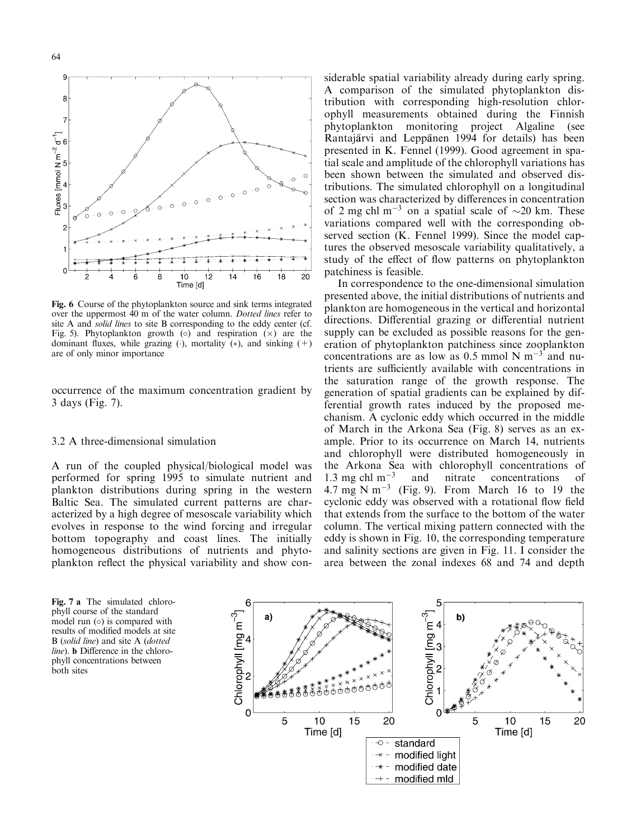

Fig. 6 Course of the phytoplankton source and sink terms integrated over the uppermost 40 m of the water column. Dotted lines refer to site A and solid lines to site B corresponding to the eddy center (cf. Fig. 5). Phytoplankton growth ( $\circ$ ) and respiration ( $\times$ ) are the dominant fluxes, while grazing  $(\cdot)$ , mortality  $(*)$ , and sinking  $(+)$ are of only minor importance

occurrence of the maximum concentration gradient by 3 days (Fig. 7).

#### 3.2 A three-dimensional simulation

A run of the coupled physical/biological model was performed for spring 1995 to simulate nutrient and plankton distributions during spring in the western Baltic Sea. The simulated current patterns are characterized by a high degree of mesoscale variability which evolves in response to the wind forcing and irregular bottom topography and coast lines. The initially homogeneous distributions of nutrients and phytoplankton reflect the physical variability and show con-

Fig. 7 a The simulated chlorophyll course of the standard model run  $(\circ)$  is compared with results of modified models at site B (solid line) and site A (dotted line). b Difference in the chlorophyll concentrations between both sites

siderable spatial variability already during early spring. A comparison of the simulated phytoplankton distribution with corresponding high-resolution chlorophyll measurements obtained during the Finnish phytoplankton monitoring project Algaline (see Rantajärvi and Leppänen 1994 for details) has been presented in K. Fennel (1999). Good agreement in spatial scale and amplitude of the chlorophyll variations has been shown between the simulated and observed distributions. The simulated chlorophyll on a longitudinal section was characterized by differences in concentration of 2 mg chl m<sup>-3</sup> on a spatial scale of  $\sim$ 20 km. These variations compared well with the corresponding observed section (K. Fennel 1999). Since the model captures the observed mesoscale variability qualitatively, a study of the effect of flow patterns on phytoplankton patchiness is feasible.

In correspondence to the one-dimensional simulation presented above, the initial distributions of nutrients and plankton are homogeneous in the vertical and horizontal directions. Differential grazing or differential nutrient supply can be excluded as possible reasons for the generation of phytoplankton patchiness since zooplankton concentrations are as low as 0.5 mmol N  $\text{m}^{-3}$  and nutrients are sufficiently available with concentrations in the saturation range of the growth response. The generation of spatial gradients can be explained by differential growth rates induced by the proposed mechanism. A cyclonic eddy which occurred in the middle of March in the Arkona Sea (Fig. 8) serves as an example. Prior to its occurrence on March 14, nutrients and chlorophyll were distributed homogeneously in the Arkona Sea with chlorophyll concentrations of 1.3 mg chl  $m^{-3}$  and nitrate concentrations of and nitrate concentrations of  $4.7 \text{ mg N m}^{-3}$  (Fig. 9). From March 16 to 19 the cyclonic eddy was observed with a rotational flow field that extends from the surface to the bottom of the water column. The vertical mixing pattern connected with the eddy is shown in Fig. 10, the corresponding temperature and salinity sections are given in Fig. 11. I consider the area between the zonal indexes 68 and 74 and depth

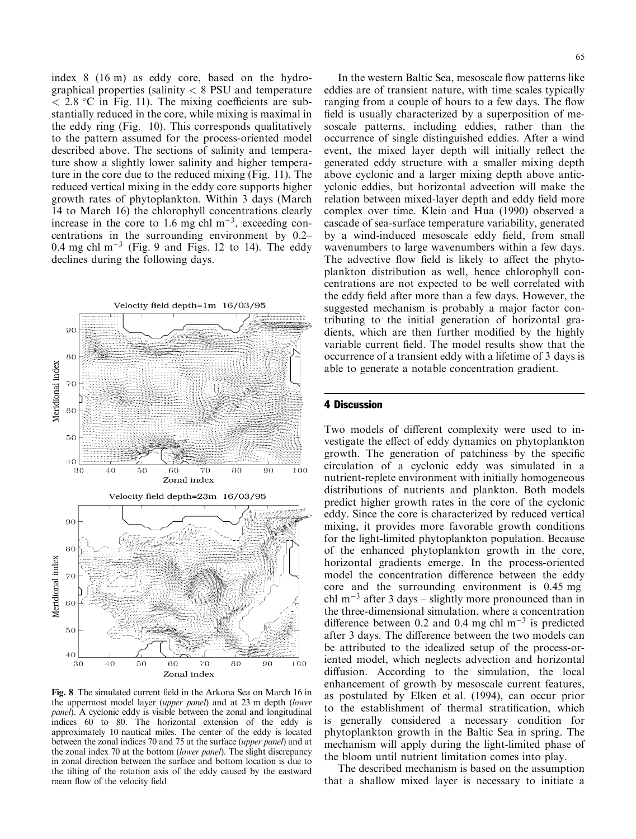index 8 (16 m) as eddy core, based on the hydrographical properties (salinity  $<$  8 PSU and temperature  $\langle 2.8 \degree C \rangle$  in Fig. 11). The mixing coefficients are substantially reduced in the core, while mixing is maximal in the eddy ring (Fig. 10). This corresponds qualitatively to the pattern assumed for the process-oriented model described above. The sections of salinity and temperature show a slightly lower salinity and higher temperature in the core due to the reduced mixing (Fig. 11). The reduced vertical mixing in the eddy core supports higher growth rates of phytoplankton. Within 3 days (March 14 to March 16) the chlorophyll concentrations clearly increase in the core to 1.6 mg chl  $m^{-3}$ , exceeding concentrations in the surrounding environment by 0.2– 0.4 mg chl  $m^{-3}$  (Fig. 9 and Figs. 12 to 14). The eddy declines during the following days.



Fig. 8 The simulated current field in the Arkona Sea on March 16 in the uppermost model layer (upper panel) and at 23 m depth (lower panel). A cyclonic eddy is visible between the zonal and longitudinal indices 60 to 80. The horizontal extension of the eddy is approximately 10 nautical miles. The center of the eddy is located between the zonal indices 70 and 75 at the surface (upper panel) and at the zonal index 70 at the bottom (lower panel). The slight discrepancy in zonal direction between the surface and bottom location is due to the tilting of the rotation axis of the eddy caused by the eastward mean flow of the velocity field

In the western Baltic Sea, mesoscale flow patterns like eddies are of transient nature, with time scales typically ranging from a couple of hours to a few days. The flow field is usually characterized by a superposition of mesoscale patterns, including eddies, rather than the occurrence of single distinguished eddies. After a wind event, the mixed layer depth will initially reflect the generated eddy structure with a smaller mixing depth above cyclonic and a larger mixing depth above anticyclonic eddies, but horizontal advection will make the relation between mixed-layer depth and eddy field more complex over time. Klein and Hua (1990) observed a cascade of sea-surface temperature variability, generated by a wind-induced mesoscale eddy field, from small wavenumbers to large wavenumbers within a few days. The advective flow field is likely to affect the phytoplankton distribution as well, hence chlorophyll concentrations are not expected to be well correlated with the eddy field after more than a few days. However, the suggested mechanism is probably a major factor contributing to the initial generation of horizontal gradients, which are then further modified by the highly variable current field. The model results show that the occurrence of a transient eddy with a lifetime of 3 days is able to generate a notable concentration gradient.

## 4 Discussion

Two models of different complexity were used to investigate the effect of eddy dynamics on phytoplankton growth. The generation of patchiness by the specific circulation of a cyclonic eddy was simulated in a nutrient-replete environment with initially homogeneous distributions of nutrients and plankton. Both models predict higher growth rates in the core of the cyclonic eddy. Since the core is characterized by reduced vertical mixing, it provides more favorable growth conditions for the light-limited phytoplankton population. Because of the enhanced phytoplankton growth in the core, horizontal gradients emerge. In the process-oriented model the concentration difference between the eddy core and the surrounding environment is 0.45 mg chl m<sup>-3</sup> after 3 days – slightly more pronounced than in the three-dimensional simulation, where a concentration difference between 0.2 and 0.4 mg chl  $m^{-3}$  is predicted after 3 days. The difference between the two models can be attributed to the idealized setup of the process-oriented model, which neglects advection and horizontal diffusion. According to the simulation, the local enhancement of growth by mesoscale current features, as postulated by Elken et al. (1994), can occur prior to the establishment of thermal stratification, which is generally considered a necessary condition for phytoplankton growth in the Baltic Sea in spring. The mechanism will apply during the light-limited phase of the bloom until nutrient limitation comes into play.

The described mechanism is based on the assumption that a shallow mixed layer is necessary to initiate a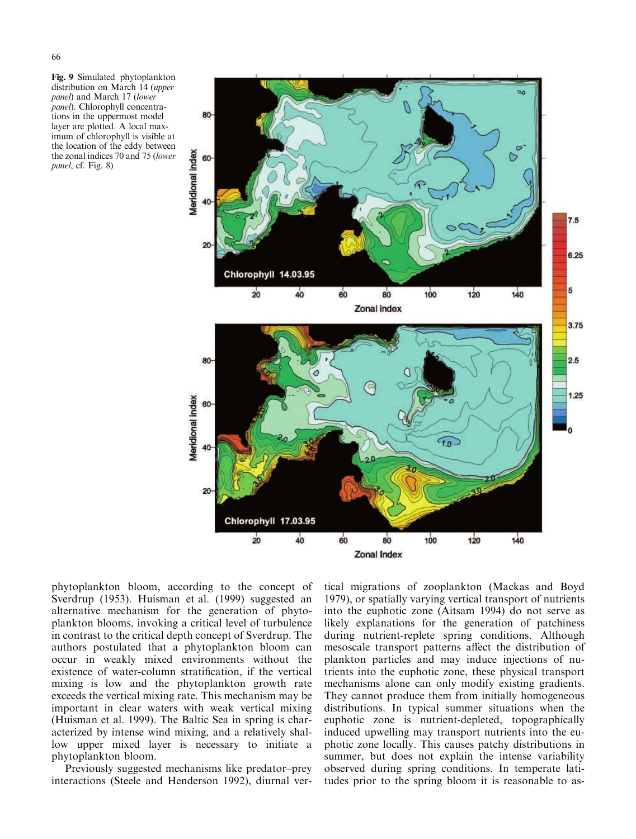panel, cf. Fig. 8)

66



phytoplankton bloom, according to the concept of Sverdrup (1953). Huisman et al. (1999) suggested an alternative mechanism for the generation of phytoplankton blooms, invoking a critical level of turbulence in contrast to the critical depth concept of Sverdrup. The authors postulated that a phytoplankton bloom can occur in weakly mixed environments without the existence of water-column stratification, if the vertical mixing is low and the phytoplankton growth rate exceeds the vertical mixing rate. This mechanism may be important in clear waters with weak vertical mixing (Huisman et al. 1999). The Baltic Sea in spring is characterized by intense wind mixing, and a relatively shallow upper mixed layer is necessary to initiate a phytoplankton bloom.

Previously suggested mechanisms like predator–prey interactions (Steele and Henderson 1992), diurnal ver-

tical migrations of zooplankton (Mackas and Boyd 1979), or spatially varying vertical transport of nutrients into the euphotic zone (Aitsam 1994) do not serve as likely explanations for the generation of patchiness during nutrient-replete spring conditions. Although mesoscale transport patterns affect the distribution of plankton particles and may induce injections of nutrients into the euphotic zone, these physical transport mechanisms alone can only modify existing gradients. They cannot produce them from initially homogeneous distributions. In typical summer situations when the euphotic zone is nutrient-depleted, topographically induced upwelling may transport nutrients into the euphotic zone locally. This causes patchy distributions in summer, but does not explain the intense variability observed during spring conditions. In temperate latitudes prior to the spring bloom it is reasonable to as-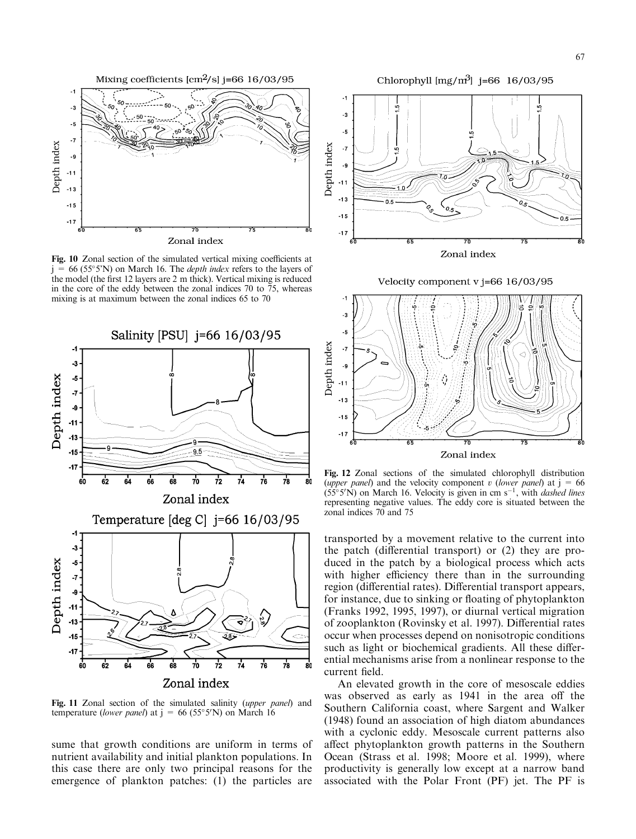

Fig. 10 Zonal section of the simulated vertical mixing coefficients at  $j = 66$  (55°5'N) on March 16. The *depth index* refers to the layers of the model (the first 12 layers are 2 m thick). Vertical mixing is reduced in the core of the eddy between the zonal indices 70 to 75, whereas mixing is at maximum between the zonal indices 65 to 70



Fig. 11 Zonal section of the simulated salinity (upper panel) and temperature (lower panel) at  $j = 66$  (55°5'N) on March 16

sume that growth conditions are uniform in terms of nutrient availability and initial plankton populations. In this case there are only two principal reasons for the emergence of plankton patches: (1) the particles are

Chlorophyll  $\text{[mg/m}^3\text{]}$  j=66 16/03/95 ĿÇ, -3 -5 Depth index  $-7$ -9  $-11$  $-13$  $-15$  $-17$ Zonal index





Fig. 12 Zonal sections of the simulated chlorophyll distribution (upper panel) and the velocity component v (lower panel) at  $j = 66$  $(55°5'N)$  on March 16. Velocity is given in cm s<sup>-1</sup>, with *dashed lines* representing negative values. The eddy core is situated between the zonal indices 70 and 75

transported by a movement relative to the current into the patch (differential transport) or (2) they are produced in the patch by a biological process which acts with higher efficiency there than in the surrounding region (differential rates). Differential transport appears, for instance, due to sinking or floating of phytoplankton (Franks 1992, 1995, 1997), or diurnal vertical migration of zooplankton (Rovinsky et al. 1997). Differential rates occur when processes depend on nonisotropic conditions such as light or biochemical gradients. All these differential mechanisms arise from a nonlinear response to the current field.

An elevated growth in the core of mesoscale eddies was observed as early as 1941 in the area off the Southern California coast, where Sargent and Walker (1948) found an association of high diatom abundances with a cyclonic eddy. Mesoscale current patterns also affect phytoplankton growth patterns in the Southern Ocean (Strass et al. 1998; Moore et al. 1999), where productivity is generally low except at a narrow band associated with the Polar Front (PF) jet. The PF is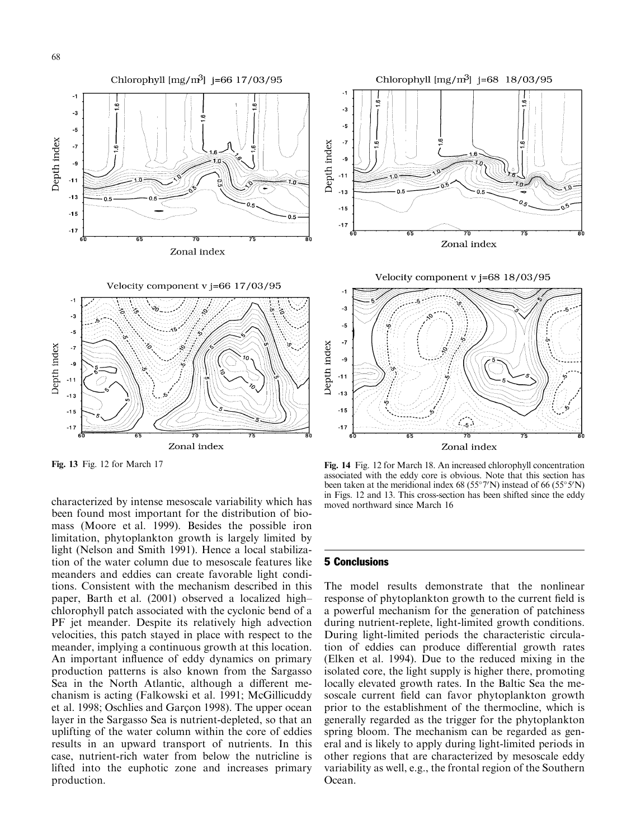

characterized by intense mesoscale variability which has been found most important for the distribution of biomass (Moore et al. 1999). Besides the possible iron limitation, phytoplankton growth is largely limited by light (Nelson and Smith 1991). Hence a local stabilization of the water column due to mesoscale features like meanders and eddies can create favorable light conditions. Consistent with the mechanism described in this paper, Barth et al. (2001) observed a localized high– chlorophyll patch associated with the cyclonic bend of a PF jet meander. Despite its relatively high advection velocities, this patch stayed in place with respect to the meander, implying a continuous growth at this location. An important influence of eddy dynamics on primary production patterns is also known from the Sargasso Sea in the North Atlantic, although a different mechanism is acting (Falkowski et al. 1991; McGillicuddy et al. 1998; Oschlies and Garcon 1998). The upper ocean layer in the Sargasso Sea is nutrient-depleted, so that an uplifting of the water column within the core of eddies results in an upward transport of nutrients. In this case, nutrient-rich water from below the nutricline is lifted into the euphotic zone and increases primary production.

Fig. 13 Fig. 12 for March 17 Fig. 14 Fig. 12 for March 18. An increased chlorophyll concentration associated with the eddy core is obvious. Note that this section has been taken at the meridional index 68 (55 $\degree$ 7'N) instead of 66 (55 $\degree$ 5'N) in Figs. 12 and 13. This cross-section has been shifted since the eddy moved northward since March 16

#### 5 Conclusions

The model results demonstrate that the nonlinear response of phytoplankton growth to the current field is a powerful mechanism for the generation of patchiness during nutrient-replete, light-limited growth conditions. During light-limited periods the characteristic circulation of eddies can produce differential growth rates (Elken et al. 1994). Due to the reduced mixing in the isolated core, the light supply is higher there, promoting locally elevated growth rates. In the Baltic Sea the mesoscale current field can favor phytoplankton growth prior to the establishment of the thermocline, which is generally regarded as the trigger for the phytoplankton spring bloom. The mechanism can be regarded as general and is likely to apply during light-limited periods in other regions that are characterized by mesoscale eddy variability as well, e.g., the frontal region of the Southern Ocean.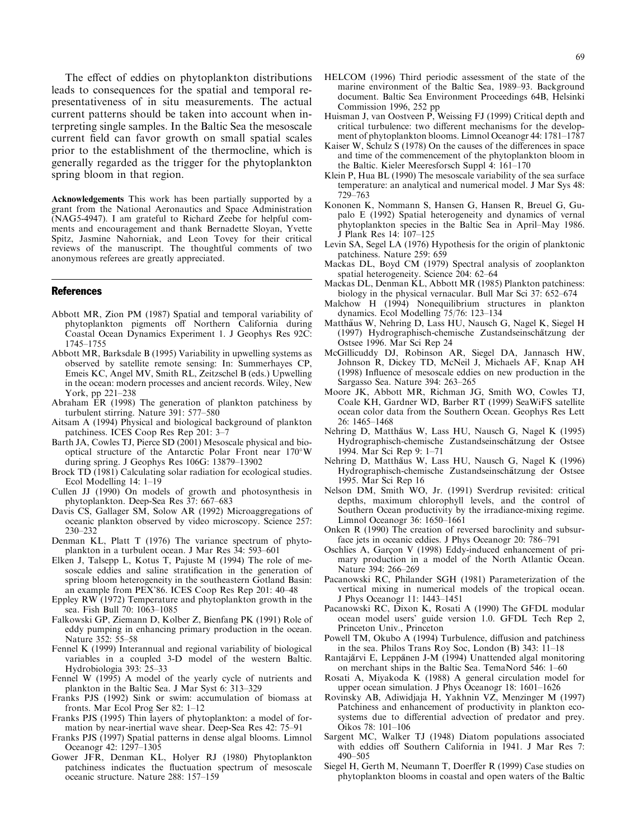The effect of eddies on phytoplankton distributions leads to consequences for the spatial and temporal representativeness of in situ measurements. The actual current patterns should be taken into account when interpreting single samples. In the Baltic Sea the mesoscale current field can favor growth on small spatial scales prior to the establishment of the thermocline, which is generally regarded as the trigger for the phytoplankton spring bloom in that region.

Acknowledgements This work has been partially supported by a grant from the National Aeronautics and Space Administration (NAG5-4947). I am grateful to Richard Zeebe for helpful comments and encouragement and thank Bernadette Sloyan, Yvette Spitz, Jasmine Nahorniak, and Leon Tovey for their critical reviews of the manuscript. The thoughtful comments of two anonymous referees are greatly appreciated.

#### References

- Abbott MR, Zion PM (1987) Spatial and temporal variability of phytoplankton pigments off Northern California during Coastal Ocean Dynamics Experiment 1. J Geophys Res 92C: 1745–1755
- Abbott MR, Barksdale B (1995) Variability in upwelling systems as observed by satellite remote sensing: In: Summerhayes CP, Emeis KC, Angel MV, Smith RL, Zeitzschel B (eds.) Upwelling in the ocean: modern processes and ancient records. Wiley, New York, pp 221–238
- Abraham ER (1998) The generation of plankton patchiness by turbulent stirring. Nature 391: 577–580
- Aitsam A (1994) Physical and biological background of plankton patchiness. ICES Coop Res Rep 201: 3–7
- Barth JA, Cowles TJ, Pierce SD (2001) Mesoscale physical and biooptical structure of the Antarctic Polar Front near 170°W during spring. J Geophys Res 106G: 13879–13902
- Brock TD (1981) Calculating solar radiation for ecological studies. Ecol Modelling 14: 1–19
- Cullen JJ (1990) On models of growth and photosynthesis in phytoplankton. Deep-Sea Res 37: 667–683
- Davis CS, Gallager SM, Solow AR (1992) Microaggregations of oceanic plankton observed by video microscopy. Science 257: 230–232
- Denman KL, Platt T (1976) The variance spectrum of phytoplankton in a turbulent ocean. J Mar Res 34: 593–601
- Elken J, Talsepp L, Kotus T, Pajuste M (1994) The role of mesoscale eddies and saline stratification in the generation of spring bloom heterogeneity in the southeastern Gotland Basin: an example from PEX'86. ICES Coop Res Rep 201: 40–48
- Eppley RW (1972) Temperature and phytoplankton growth in the sea. Fish Bull 70: 1063–1085
- Falkowski GP, Ziemann D, Kolber Z, Bienfang PK (1991) Role of eddy pumping in enhancing primary production in the ocean. Nature 352: 55–58
- Fennel K (1999) Interannual and regional variability of biological variables in a coupled 3-D model of the western Baltic. Hydrobiologia 393: 25–33
- Fennel W (1995) A model of the yearly cycle of nutrients and plankton in the Baltic Sea. J Mar Syst 6: 313–329
- Franks PJS (1992) Sink or swim: accumulation of biomass at fronts. Mar Ecol Prog Ser 82: 1–12
- Franks PJS (1995) Thin layers of phytoplankton: a model of formation by near-inertial wave shear. Deep-Sea Res 42: 75–91
- Franks PJS (1997) Spatial patterns in dense algal blooms. Limnol Oceanogr 42: 1297–1305
- Gower JFR, Denman KL, Holyer RJ (1980) Phytoplankton patchiness indicates the fluctuation spectrum of mesoscale oceanic structure. Nature 288: 157–159
- HELCOM (1996) Third periodic assessment of the state of the marine environment of the Baltic Sea, 1989–93. Background document. Baltic Sea Environment Proceedings 64B, Helsinki Commission 1996, 252 pp
- Huisman J, van Oostveen P, Weissing FJ (1999) Critical depth and critical turbulence: two different mechanisms for the development of phytoplankton blooms. Limnol Oceanogr 44: 1781–1787
- Kaiser W, Schulz S (1978) On the causes of the differences in space and time of the commencement of the phytoplankton bloom in the Baltic. Kieler Meeresforsch Suppl 4: 161–170
- Klein P, Hua BL (1990) The mesoscale variability of the sea surface temperature: an analytical and numerical model. J Mar Sys 48: 729–763
- Kononen K, Nommann S, Hansen G, Hansen R, Breuel G, Gupalo E (1992) Spatial heterogeneity and dynamics of vernal phytoplankton species in the Baltic Sea in April–May 1986. J Plank Res 14: 107–125
- Levin SA, Segel LA (1976) Hypothesis for the origin of planktonic patchiness. Nature 259: 659
- Mackas DL, Boyd CM (1979) Spectral analysis of zooplankton spatial heterogeneity. Science 204: 62–64
- Mackas DL, Denman KL, Abbott MR (1985) Plankton patchiness: biology in the physical vernacular. Bull Mar Sci 37: 652–674
- Malchow H (1994) Nonequilibrium structures in plankton dynamics. Ecol Modelling 75/76: 123–134
- Matthaus W, Nehring D, Lass HU, Nausch G, Nagel K, Siegel H (1997) Hydrographisch-chemische Zustandseinschätzung der Ostsee 1996. Mar Sci Rep 24
- McGillicuddy DJ, Robinson AR, Siegel DA, Jannasch HW, Johnson R, Dickey TD, McNeil J, Michaels AF, Knap AH (1998) Influence of mesoscale eddies on new production in the Sargasso Sea. Nature 394: 263–265
- Moore JK, Abbott MR, Richman JG, Smith WO, Cowles TJ, Coale KH, Gardner WD, Barber RT (1999) SeaWiFS satellite ocean color data from the Southern Ocean. Geophys Res Lett 26: 1465–1468
- Nehring D, Matth}aus W, Lass HU, Nausch G, Nagel K (1995) Hydrographisch-chemische Zustandseinschätzung der Ostsee 1994. Mar Sci Rep 9: 1–71
- Nehring D, Matth}aus W, Lass HU, Nausch G, Nagel K (1996) Hydrographisch-chemische Zustandseinschätzung der Ostsee 1995. Mar Sci Rep 16
- Nelson DM, Smith WO, Jr. (1991) Sverdrup revisited: critical depths, maximum chlorophyll levels, and the control of Southern Ocean productivity by the irradiance-mixing regime. Limnol Oceanogr 36: 1650–1661
- Onken R (1990) The creation of reversed baroclinity and subsurface jets in oceanic eddies. J Phys Oceanogr 20: 786–791
- Oschlies A, Garçon V (1998) Eddy-induced enhancement of primary production in a model of the North Atlantic Ocean. Nature 394: 266–269
- Pacanowski RC, Philander SGH (1981) Parameterization of the vertical mixing in numerical models of the tropical ocean. J Phys Oceanogr 11: 1443–1451
- Pacanowski RC, Dixon K, Rosati A (1990) The GFDL modular ocean model users' guide version 1.0. GFDL Tech Rep 2, Princeton Univ., Princeton
- Powell TM, Okubo A (1994) Turbulence, diffusion and patchiness in the sea. Philos Trans Roy Soc, London (B) 343: 11–18
- Rantajärvi E, Leppänen J-M (1994) Unattended algal monitoring on merchant ships in the Baltic Sea. TemaNord 546: 1–60
- Rosati A, Miyakoda K (1988) A general circulation model for upper ocean simulation. J Phys Oceanogr 18: 1601–1626
- Rovinsky AB, Adiwidjaja H, Yakhnin VZ, Menzinger M (1997) Patchiness and enhancement of productivity in plankton ecosystems due to differential advection of predator and prey. Oikos 78: 101–106
- Sargent MC, Walker TJ (1948) Diatom populations associated with eddies off Southern California in 1941. J Mar Res 7: 490–505
- Siegel H, Gerth M, Neumann T, Doerffer R (1999) Case studies on phytoplankton blooms in coastal and open waters of the Baltic